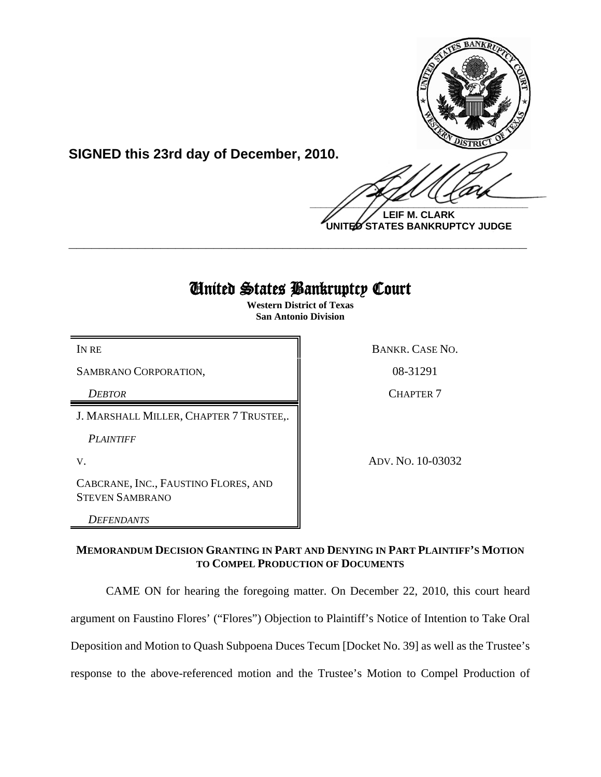

**SIGNED this 23rd day of December, 2010.**

 $\frac{1}{2}$ 

**LEIF M. CLARK UNITED STATES BANKRUPTCY JUDGE**

# United States Bankruptcy Court

**\_\_\_\_\_\_\_\_\_\_\_\_\_\_\_\_\_\_\_\_\_\_\_\_\_\_\_\_\_\_\_\_\_\_\_\_\_\_\_\_\_\_\_\_\_\_\_\_\_\_\_\_\_\_\_\_\_\_\_\_**

**Western District of Texas San Antonio Division**

SAMBRANO CORPORATION,  $\parallel$  08-31291

J. MARSHALL MILLER, CHAPTER 7 TRUSTEE,.

*PLAINTIFF* 

CABCRANE, INC., FAUSTINO FLORES, AND STEVEN SAMBRANO

*DEFENDANTS*

IN RE BANKR. CASE NO.

*DEBTOR* CHAPTER 7

V. ADV. NO. 10-03032

## **MEMORANDUM DECISION GRANTING IN PART AND DENYING IN PART PLAINTIFF'S MOTION TO COMPEL PRODUCTION OF DOCUMENTS**

CAME ON for hearing the foregoing matter. On December 22, 2010, this court heard argument on Faustino Flores' ("Flores") Objection to Plaintiff's Notice of Intention to Take Oral Deposition and Motion to Quash Subpoena Duces Tecum [Docket No. 39] as well as the Trustee's response to the above-referenced motion and the Trustee's Motion to Compel Production of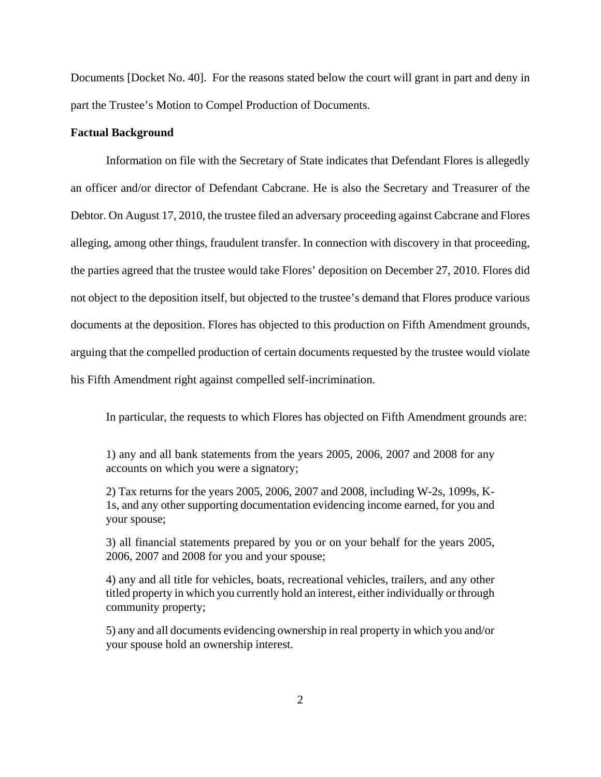Documents [Docket No. 40]. For the reasons stated below the court will grant in part and deny in part the Trustee's Motion to Compel Production of Documents.

### **Factual Background**

Information on file with the Secretary of State indicates that Defendant Flores is allegedly an officer and/or director of Defendant Cabcrane. He is also the Secretary and Treasurer of the Debtor. On August 17, 2010, the trustee filed an adversary proceeding against Cabcrane and Flores alleging, among other things, fraudulent transfer. In connection with discovery in that proceeding, the parties agreed that the trustee would take Flores' deposition on December 27, 2010. Flores did not object to the deposition itself, but objected to the trustee's demand that Flores produce various documents at the deposition. Flores has objected to this production on Fifth Amendment grounds, arguing that the compelled production of certain documents requested by the trustee would violate his Fifth Amendment right against compelled self-incrimination.

In particular, the requests to which Flores has objected on Fifth Amendment grounds are:

1) any and all bank statements from the years 2005, 2006, 2007 and 2008 for any accounts on which you were a signatory;

2) Tax returns for the years 2005, 2006, 2007 and 2008, including W-2s, 1099s, K-1s, and any other supporting documentation evidencing income earned, for you and your spouse;

3) all financial statements prepared by you or on your behalf for the years 2005, 2006, 2007 and 2008 for you and your spouse;

4) any and all title for vehicles, boats, recreational vehicles, trailers, and any other titled property in which you currently hold an interest, either individually or through community property;

5) any and all documents evidencing ownership in real property in which you and/or your spouse hold an ownership interest.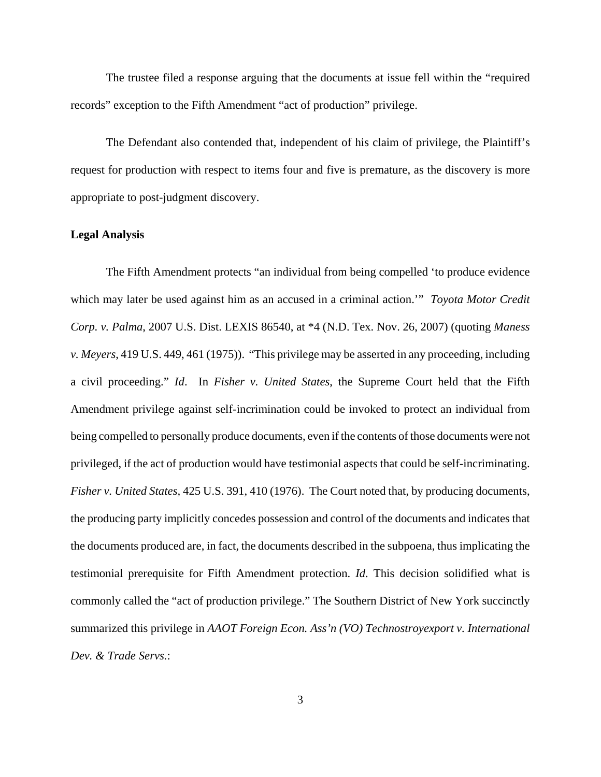The trustee filed a response arguing that the documents at issue fell within the "required records" exception to the Fifth Amendment "act of production" privilege.

The Defendant also contended that, independent of his claim of privilege, the Plaintiff's request for production with respect to items four and five is premature, as the discovery is more appropriate to post-judgment discovery.

#### **Legal Analysis**

The Fifth Amendment protects "an individual from being compelled 'to produce evidence which may later be used against him as an accused in a criminal action.'" *Toyota Motor Credit Corp. v. Palma*, 2007 U.S. Dist. LEXIS 86540, at \*4 (N.D. Tex. Nov. 26, 2007) (quoting *Maness v. Meyers*, 419 U.S. 449, 461 (1975)). "This privilege may be asserted in any proceeding, including a civil proceeding." *Id*. In *Fisher v. United States*, the Supreme Court held that the Fifth Amendment privilege against self-incrimination could be invoked to protect an individual from being compelled to personally produce documents, even if the contents of those documents were not privileged, if the act of production would have testimonial aspects that could be self-incriminating. *Fisher v. United States,* 425 U.S. 391, 410 (1976). The Court noted that, by producing documents, the producing party implicitly concedes possession and control of the documents and indicates that the documents produced are, in fact, the documents described in the subpoena, thus implicating the testimonial prerequisite for Fifth Amendment protection. *Id*. This decision solidified what is commonly called the "act of production privilege." The Southern District of New York succinctly summarized this privilege in *AAOT Foreign Econ. Ass'n (VO) Technostroyexport v. International Dev. & Trade Servs.*: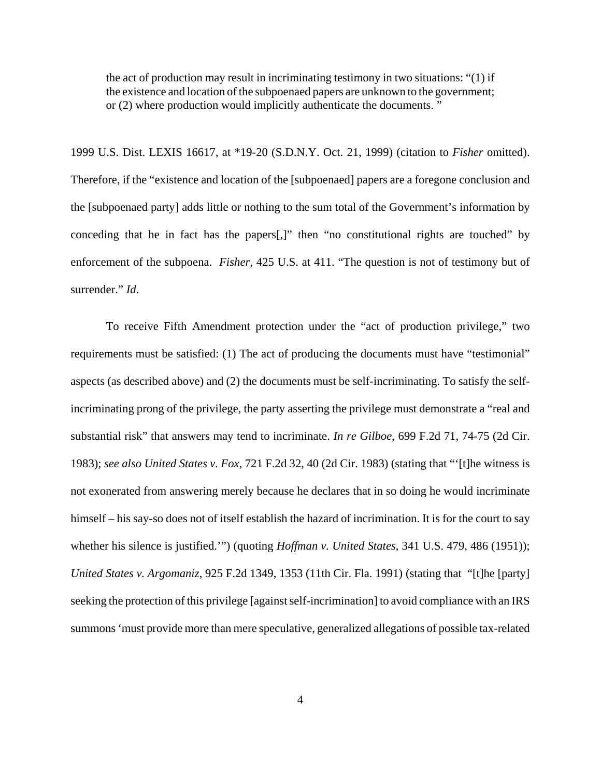the act of production may result in incriminating testimony in two situations: "(1) if the existence and location of the subpoenaed papers are unknown to the government; or (2) where production would implicitly authenticate the documents. "

1999 U.S. Dist. LEXIS 16617, at \*19-20 (S.D.N.Y. Oct. 21, 1999) (citation to *Fisher* omitted). Therefore, if the "existence and location of the [subpoenaed] papers are a foregone conclusion and the [subpoenaed party] adds little or nothing to the sum total of the Government's information by conceding that he in fact has the papers[,]" then "no constitutional rights are touched" by enforcement of the subpoena. *Fisher*, 425 U.S. at 411. "The question is not of testimony but of surrender." *Id*.

To receive Fifth Amendment protection under the "act of production privilege," two requirements must be satisfied: (1) The act of producing the documents must have "testimonial" aspects (as described above) and (2) the documents must be self-incriminating. To satisfy the selfincriminating prong of the privilege, the party asserting the privilege must demonstrate a "real and substantial risk" that answers may tend to incriminate. *In re Gilboe*, 699 F.2d 71, 74-75 (2d Cir. 1983); *see also United States v. Fox*, 721 F.2d 32, 40 (2d Cir. 1983) (stating that "'[t]he witness is not exonerated from answering merely because he declares that in so doing he would incriminate himself – his say-so does not of itself establish the hazard of incrimination. It is for the court to say whether his silence is justified.'") (quoting *Hoffman v. United States*, 341 U.S. 479, 486 (1951)); *United States v. Argomaniz*, 925 F.2d 1349, 1353 (11th Cir. Fla. 1991) (stating that "[t]he [party] seeking the protection of this privilege [against self-incrimination] to avoid compliance with an IRS summons 'must provide more than mere speculative, generalized allegations of possible tax-related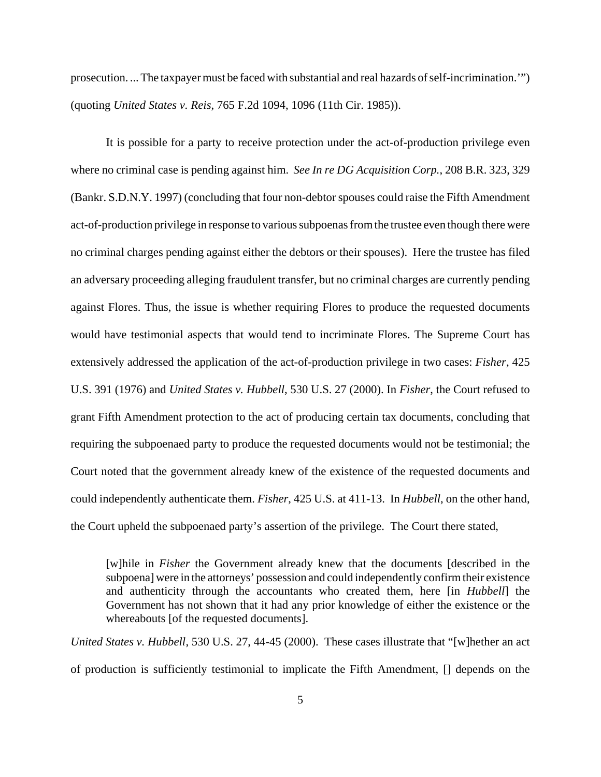prosecution. ... The taxpayer must be faced with substantial and real hazards of self-incrimination.'") (quoting *United States v. Reis*, 765 F.2d 1094, 1096 (11th Cir. 1985)).

It is possible for a party to receive protection under the act-of-production privilege even where no criminal case is pending against him. *See In re DG Acquisition Corp.*, 208 B.R. 323, 329 (Bankr. S.D.N.Y. 1997) (concluding that four non-debtor spouses could raise the Fifth Amendment act-of-production privilege in response to various subpoenas from the trustee even though there were no criminal charges pending against either the debtors or their spouses). Here the trustee has filed an adversary proceeding alleging fraudulent transfer, but no criminal charges are currently pending against Flores. Thus, the issue is whether requiring Flores to produce the requested documents would have testimonial aspects that would tend to incriminate Flores. The Supreme Court has extensively addressed the application of the act-of-production privilege in two cases: *Fisher*, 425 U.S. 391 (1976) and *United States v. Hubbell*, 530 U.S. 27 (2000). In *Fisher*, the Court refused to grant Fifth Amendment protection to the act of producing certain tax documents, concluding that requiring the subpoenaed party to produce the requested documents would not be testimonial; the Court noted that the government already knew of the existence of the requested documents and could independently authenticate them. *Fisher*, 425 U.S. at 411-13. In *Hubbell*, on the other hand, the Court upheld the subpoenaed party's assertion of the privilege. The Court there stated,

[w]hile in *Fisher* the Government already knew that the documents [described in the subpoena] were in the attorneys' possession and could independently confirm their existence and authenticity through the accountants who created them, here [in *Hubbell*] the Government has not shown that it had any prior knowledge of either the existence or the whereabouts [of the requested documents].

*United States v. Hubbell*, 530 U.S. 27, 44-45 (2000). These cases illustrate that "[w]hether an act of production is sufficiently testimonial to implicate the Fifth Amendment, [] depends on the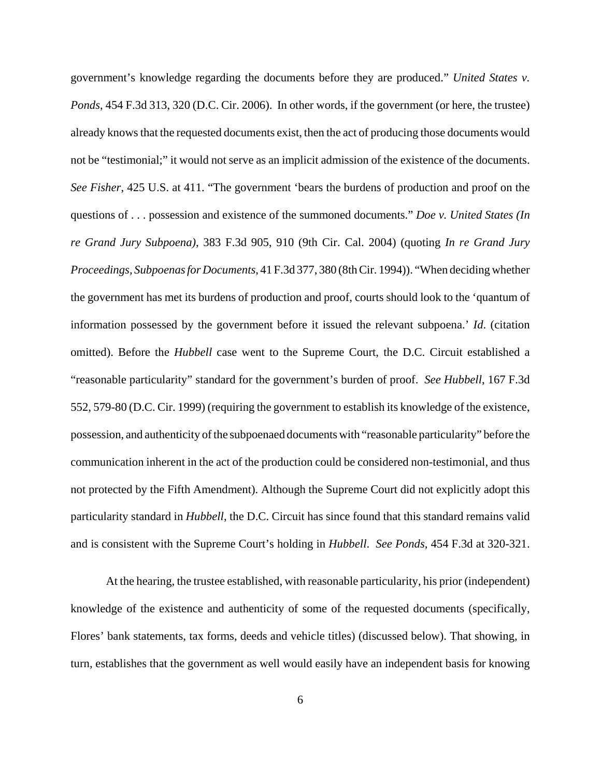government's knowledge regarding the documents before they are produced." *United States v. Ponds*, 454 F.3d 313, 320 (D.C. Cir. 2006). In other words, if the government (or here, the trustee) already knows that the requested documents exist, then the act of producing those documents would not be "testimonial;" it would not serve as an implicit admission of the existence of the documents. *See Fisher*, 425 U.S. at 411. "The government 'bears the burdens of production and proof on the questions of . . . possession and existence of the summoned documents." *Doe v. United States (In re Grand Jury Subpoena)*, 383 F.3d 905, 910 (9th Cir. Cal. 2004) (quoting *In re Grand Jury Proceedings, Subpoenas for Documents*, 41 F.3d 377, 380 (8th Cir. 1994)). "When deciding whether the government has met its burdens of production and proof, courts should look to the 'quantum of information possessed by the government before it issued the relevant subpoena.' *Id*. (citation omitted). Before the *Hubbell* case went to the Supreme Court, the D.C. Circuit established a "reasonable particularity" standard for the government's burden of proof. *See Hubbell*, 167 F.3d 552, 579-80 (D.C. Cir. 1999) (requiring the government to establish its knowledge of the existence, possession, and authenticity of the subpoenaed documents with "reasonable particularity" before the communication inherent in the act of the production could be considered non-testimonial, and thus not protected by the Fifth Amendment). Although the Supreme Court did not explicitly adopt this particularity standard in *Hubbell*, the D.C. Circuit has since found that this standard remains valid and is consistent with the Supreme Court's holding in *Hubbell*. *See Ponds*, 454 F.3d at 320-321.

At the hearing, the trustee established, with reasonable particularity, his prior (independent) knowledge of the existence and authenticity of some of the requested documents (specifically, Flores' bank statements, tax forms, deeds and vehicle titles) (discussed below). That showing, in turn, establishes that the government as well would easily have an independent basis for knowing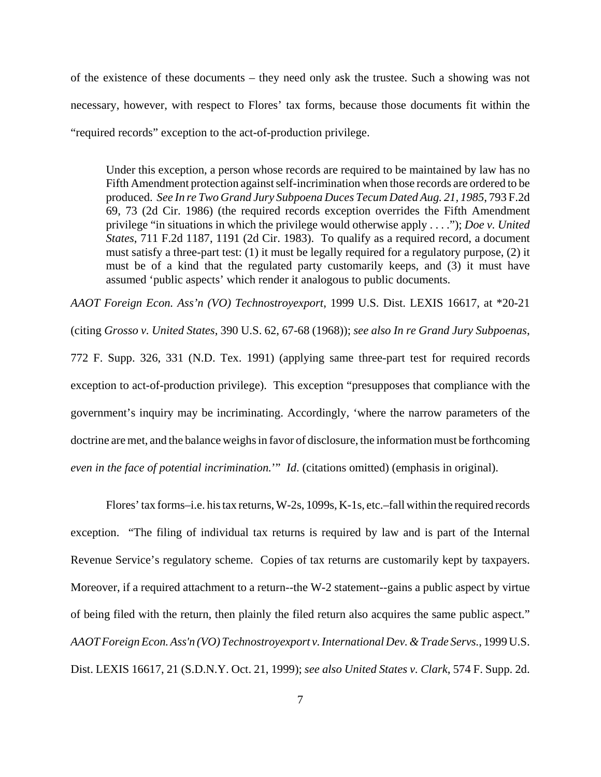of the existence of these documents – they need only ask the trustee. Such a showing was not necessary, however, with respect to Flores' tax forms, because those documents fit within the "required records" exception to the act-of-production privilege.

Under this exception, a person whose records are required to be maintained by law has no Fifth Amendment protection against self-incrimination when those records are ordered to be produced. *See In re Two Grand Jury Subpoena Duces Tecum Dated Aug. 21, 1985*, 793 F.2d 69, 73 (2d Cir. 1986) (the required records exception overrides the Fifth Amendment privilege "in situations in which the privilege would otherwise apply . . . ."); *Doe v. United States*, 711 F.2d 1187, 1191 (2d Cir. 1983). To qualify as a required record, a document must satisfy a three-part test: (1) it must be legally required for a regulatory purpose, (2) it must be of a kind that the regulated party customarily keeps, and (3) it must have assumed 'public aspects' which render it analogous to public documents.

*AAOT Foreign Econ. Ass'n (VO) Technostroyexport*, 1999 U.S. Dist. LEXIS 16617, at \*20-21 (citing *Grosso v. United States*, 390 U.S. 62, 67-68 (1968)); *see also In re Grand Jury Subpoenas*, 772 F. Supp. 326, 331 (N.D. Tex. 1991) (applying same three-part test for required records exception to act-of-production privilege). This exception "presupposes that compliance with the government's inquiry may be incriminating. Accordingly, 'where the narrow parameters of the doctrine are met, and the balance weighs in favor of disclosure, the information must be forthcoming *even in the face of potential incrimination.*'" *Id*. (citations omitted) (emphasis in original).

Flores' tax forms–i.e. his tax returns, W-2s, 1099s, K-1s, etc.–fall within the required records exception. "The filing of individual tax returns is required by law and is part of the Internal Revenue Service's regulatory scheme. Copies of tax returns are customarily kept by taxpayers. Moreover, if a required attachment to a return--the W-2 statement--gains a public aspect by virtue of being filed with the return, then plainly the filed return also acquires the same public aspect." *AAOT Foreign Econ. Ass'n (VO) Technostroyexport v. International Dev. & Trade Servs.*, 1999 U.S. Dist. LEXIS 16617, 21 (S.D.N.Y. Oct. 21, 1999); *see also United States v. Clark*, 574 F. Supp. 2d.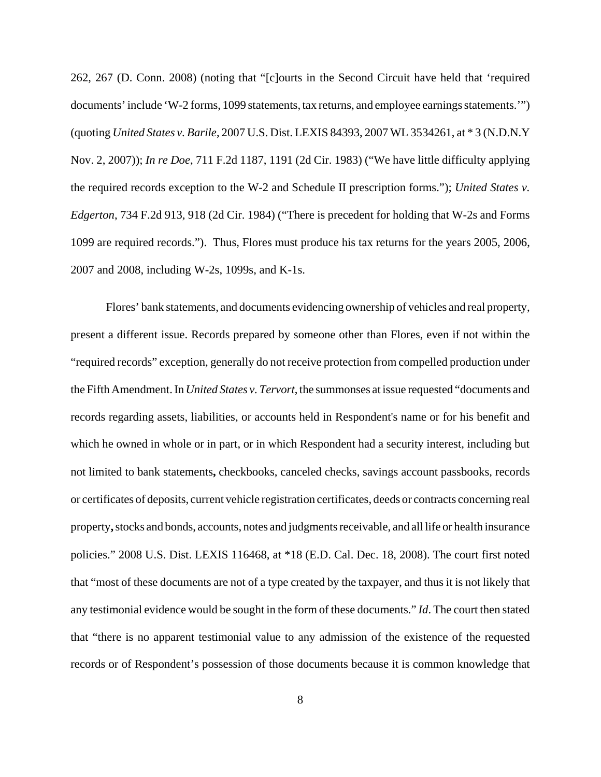262, 267 (D. Conn. 2008) (noting that "[c]ourts in the Second Circuit have held that 'required documents' include 'W-2 forms, 1099 statements, tax returns, and employee earnings statements.'") (quoting *United States v. Barile*, 2007 U.S. Dist. LEXIS 84393, 2007 WL 3534261, at \* 3 (N.D.N.Y Nov. 2, 2007)); *In re Doe*, 711 F.2d 1187, 1191 (2d Cir. 1983) ("We have little difficulty applying the required records exception to the W-2 and Schedule II prescription forms."); *United States v. Edgerton*, 734 F.2d 913, 918 (2d Cir. 1984) ("There is precedent for holding that W-2s and Forms 1099 are required records."). Thus, Flores must produce his tax returns for the years 2005, 2006, 2007 and 2008, including W-2s, 1099s, and K-1s.

Flores' bank statements, and documents evidencing ownership of vehicles and real property, present a different issue. Records prepared by someone other than Flores, even if not within the "required records" exception, generally do not receive protection from compelled production under the Fifth Amendment. In *United States v. Tervort*, the summonses at issue requested "documents and records regarding assets, liabilities, or accounts held in Respondent's name or for his benefit and which he owned in whole or in part, or in which Respondent had a security interest, including but not limited to bank statements**,** checkbooks, canceled checks, savings account passbooks, records or certificates of deposits, current vehicle registration certificates, deeds or contracts concerning real property**,** stocks and bonds, accounts, notes and judgments receivable, and all life or health insurance policies." 2008 U.S. Dist. LEXIS 116468, at \*18 (E.D. Cal. Dec. 18, 2008). The court first noted that "most of these documents are not of a type created by the taxpayer, and thus it is not likely that any testimonial evidence would be sought in the form of these documents." *Id*. The court then stated that "there is no apparent testimonial value to any admission of the existence of the requested records or of Respondent's possession of those documents because it is common knowledge that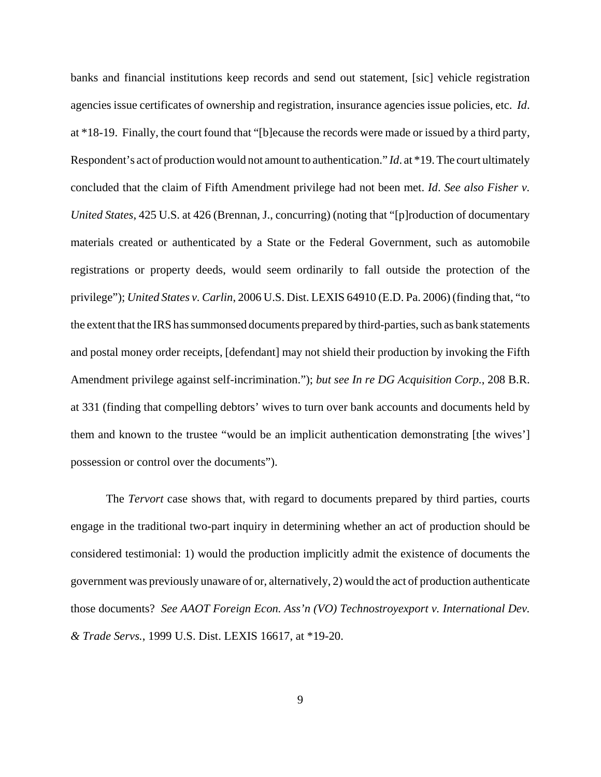banks and financial institutions keep records and send out statement, [sic] vehicle registration agencies issue certificates of ownership and registration, insurance agencies issue policies, etc. *Id*. at \*18-19. Finally, the court found that "[b]ecause the records were made or issued by a third party, Respondent's act of production would not amount to authentication." *Id*. at \*19. The court ultimately concluded that the claim of Fifth Amendment privilege had not been met. *Id*. *See also Fisher v. United States*, 425 U.S. at 426 (Brennan, J., concurring) (noting that "[p]roduction of documentary materials created or authenticated by a State or the Federal Government, such as automobile registrations or property deeds, would seem ordinarily to fall outside the protection of the privilege"); *United States v. Carlin*, 2006 U.S. Dist. LEXIS 64910 (E.D. Pa. 2006) (finding that, "to the extent that the IRS has summonsed documents prepared by third-parties, such as bank statements and postal money order receipts, [defendant] may not shield their production by invoking the Fifth Amendment privilege against self-incrimination."); *but see In re DG Acquisition Corp.*, 208 B.R. at 331 (finding that compelling debtors' wives to turn over bank accounts and documents held by them and known to the trustee "would be an implicit authentication demonstrating [the wives'] possession or control over the documents").

The *Tervort* case shows that, with regard to documents prepared by third parties, courts engage in the traditional two-part inquiry in determining whether an act of production should be considered testimonial: 1) would the production implicitly admit the existence of documents the government was previously unaware of or, alternatively, 2) would the act of production authenticate those documents? *See AAOT Foreign Econ. Ass'n (VO) Technostroyexport v. International Dev. & Trade Servs.*, 1999 U.S. Dist. LEXIS 16617, at \*19-20.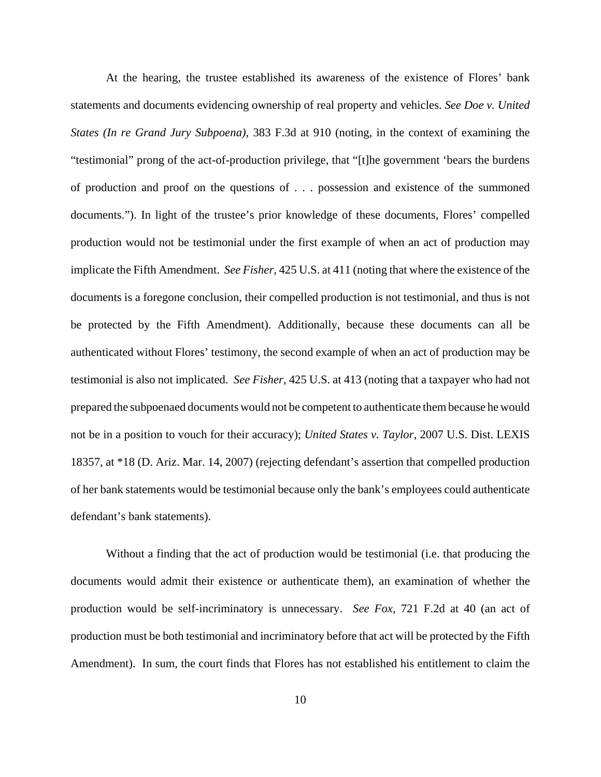At the hearing, the trustee established its awareness of the existence of Flores' bank statements and documents evidencing ownership of real property and vehicles. *See Doe v. United States (In re Grand Jury Subpoena)*, 383 F.3d at 910 (noting, in the context of examining the "testimonial" prong of the act-of-production privilege, that "[t]he government 'bears the burdens of production and proof on the questions of . . . possession and existence of the summoned documents."). In light of the trustee's prior knowledge of these documents, Flores' compelled production would not be testimonial under the first example of when an act of production may implicate the Fifth Amendment. *See Fisher*, 425 U.S. at 411 (noting that where the existence of the documents is a foregone conclusion, their compelled production is not testimonial, and thus is not be protected by the Fifth Amendment). Additionally, because these documents can all be authenticated without Flores' testimony, the second example of when an act of production may be testimonial is also not implicated. *See Fisher*, 425 U.S. at 413 (noting that a taxpayer who had not prepared the subpoenaed documents would not be competent to authenticate them because he would not be in a position to vouch for their accuracy); *United States v. Taylor*, 2007 U.S. Dist. LEXIS 18357, at \*18 (D. Ariz. Mar. 14, 2007) (rejecting defendant's assertion that compelled production of her bank statements would be testimonial because only the bank's employees could authenticate defendant's bank statements).

Without a finding that the act of production would be testimonial (i.e. that producing the documents would admit their existence or authenticate them), an examination of whether the production would be self-incriminatory is unnecessary. *See Fox*, 721 F.2d at 40 (an act of production must be both testimonial and incriminatory before that act will be protected by the Fifth Amendment). In sum, the court finds that Flores has not established his entitlement to claim the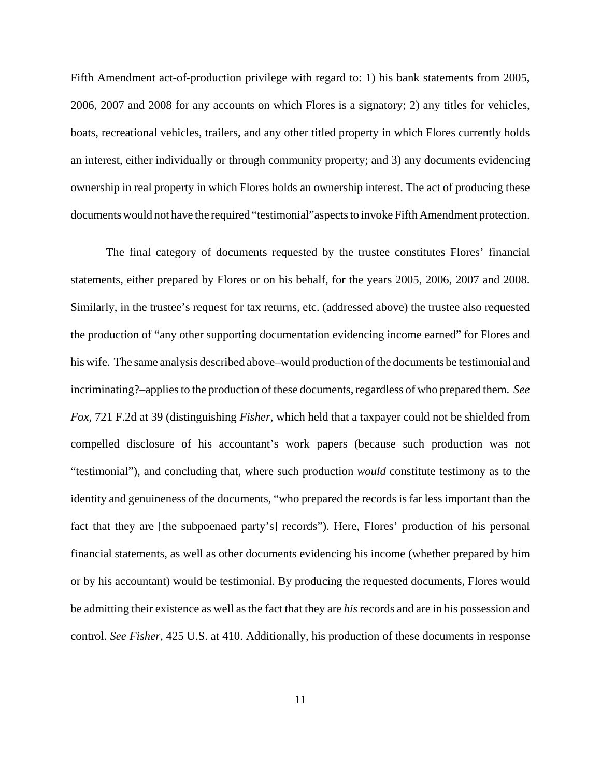Fifth Amendment act-of-production privilege with regard to: 1) his bank statements from 2005, 2006, 2007 and 2008 for any accounts on which Flores is a signatory; 2) any titles for vehicles, boats, recreational vehicles, trailers, and any other titled property in which Flores currently holds an interest, either individually or through community property; and 3) any documents evidencing ownership in real property in which Flores holds an ownership interest. The act of producing these documents would not have the required "testimonial"aspects to invoke Fifth Amendment protection.

The final category of documents requested by the trustee constitutes Flores' financial statements, either prepared by Flores or on his behalf, for the years 2005, 2006, 2007 and 2008. Similarly, in the trustee's request for tax returns, etc. (addressed above) the trustee also requested the production of "any other supporting documentation evidencing income earned" for Flores and his wife. The same analysis described above–would production of the documents be testimonial and incriminating?–applies to the production of these documents, regardless of who prepared them. *See Fox*, 721 F.2d at 39 (distinguishing *Fisher*, which held that a taxpayer could not be shielded from compelled disclosure of his accountant's work papers (because such production was not "testimonial"), and concluding that, where such production *would* constitute testimony as to the identity and genuineness of the documents, "who prepared the records is far less important than the fact that they are [the subpoenaed party's] records"). Here, Flores' production of his personal financial statements, as well as other documents evidencing his income (whether prepared by him or by his accountant) would be testimonial. By producing the requested documents, Flores would be admitting their existence as well as the fact that they are *his* records and are in his possession and control. *See Fisher*, 425 U.S. at 410. Additionally, his production of these documents in response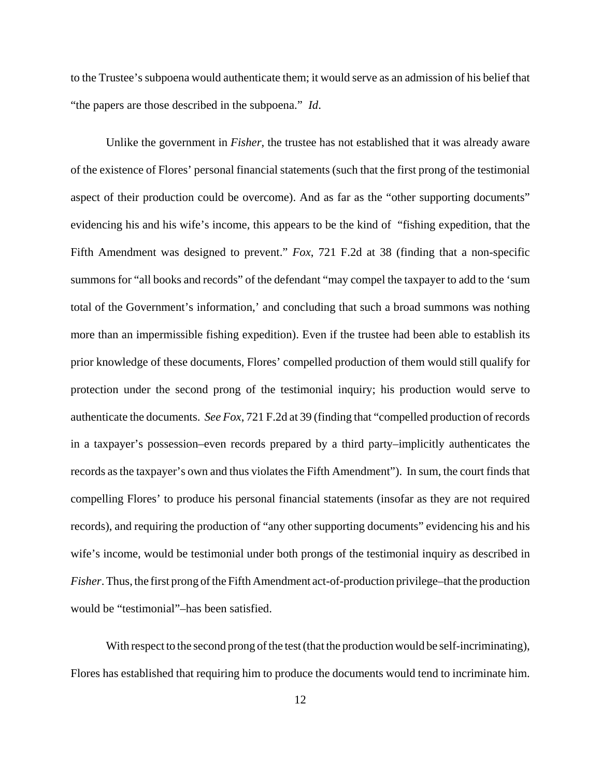to the Trustee's subpoena would authenticate them; it would serve as an admission of his belief that "the papers are those described in the subpoena." *Id*.

Unlike the government in *Fisher*, the trustee has not established that it was already aware of the existence of Flores' personal financial statements (such that the first prong of the testimonial aspect of their production could be overcome). And as far as the "other supporting documents" evidencing his and his wife's income, this appears to be the kind of "fishing expedition, that the Fifth Amendment was designed to prevent." *Fox*, 721 F.2d at 38 (finding that a non-specific summons for "all books and records" of the defendant "may compel the taxpayer to add to the 'sum total of the Government's information,' and concluding that such a broad summons was nothing more than an impermissible fishing expedition). Even if the trustee had been able to establish its prior knowledge of these documents, Flores' compelled production of them would still qualify for protection under the second prong of the testimonial inquiry; his production would serve to authenticate the documents. *See Fox*, 721 F.2d at 39 (finding that "compelled production of records in a taxpayer's possession–even records prepared by a third party–implicitly authenticates the records as the taxpayer's own and thus violates the Fifth Amendment"). In sum, the court finds that compelling Flores' to produce his personal financial statements (insofar as they are not required records), and requiring the production of "any other supporting documents" evidencing his and his wife's income, would be testimonial under both prongs of the testimonial inquiry as described in *Fisher*. Thus, the first prong of the Fifth Amendment act-of-production privilege–that the production would be "testimonial"–has been satisfied.

With respect to the second prong of the test (that the production would be self-incriminating), Flores has established that requiring him to produce the documents would tend to incriminate him.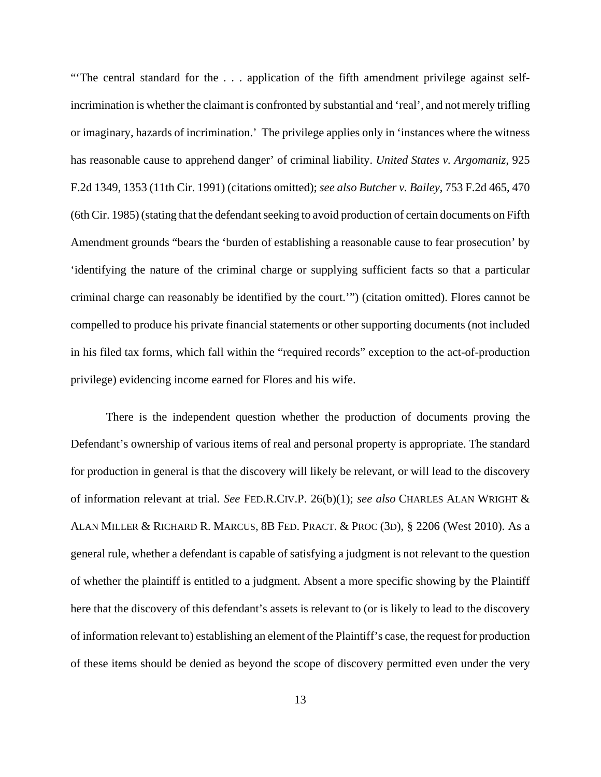"The central standard for the ... application of the fifth amendment privilege against selfincrimination is whether the claimant is confronted by substantial and 'real', and not merely trifling or imaginary, hazards of incrimination.' The privilege applies only in 'instances where the witness has reasonable cause to apprehend danger' of criminal liability. *United States v. Argomaniz*, 925 F.2d 1349, 1353 (11th Cir. 1991) (citations omitted); *see also Butcher v. Bailey*, 753 F.2d 465, 470 (6th Cir. 1985) (stating that the defendant seeking to avoid production of certain documents on Fifth Amendment grounds "bears the 'burden of establishing a reasonable cause to fear prosecution' by 'identifying the nature of the criminal charge or supplying sufficient facts so that a particular criminal charge can reasonably be identified by the court.'") (citation omitted). Flores cannot be compelled to produce his private financial statements or other supporting documents (not included in his filed tax forms, which fall within the "required records" exception to the act-of-production privilege) evidencing income earned for Flores and his wife.

There is the independent question whether the production of documents proving the Defendant's ownership of various items of real and personal property is appropriate. The standard for production in general is that the discovery will likely be relevant, or will lead to the discovery of information relevant at trial. *See* FED.R.CIV.P. 26(b)(1); *see also* CHARLES ALAN WRIGHT & ALAN MILLER & RICHARD R. MARCUS, 8B FED. PRACT. & PROC (3D), § 2206 (West 2010). As a general rule, whether a defendant is capable of satisfying a judgment is not relevant to the question of whether the plaintiff is entitled to a judgment. Absent a more specific showing by the Plaintiff here that the discovery of this defendant's assets is relevant to (or is likely to lead to the discovery of information relevant to) establishing an element of the Plaintiff's case, the request for production of these items should be denied as beyond the scope of discovery permitted even under the very